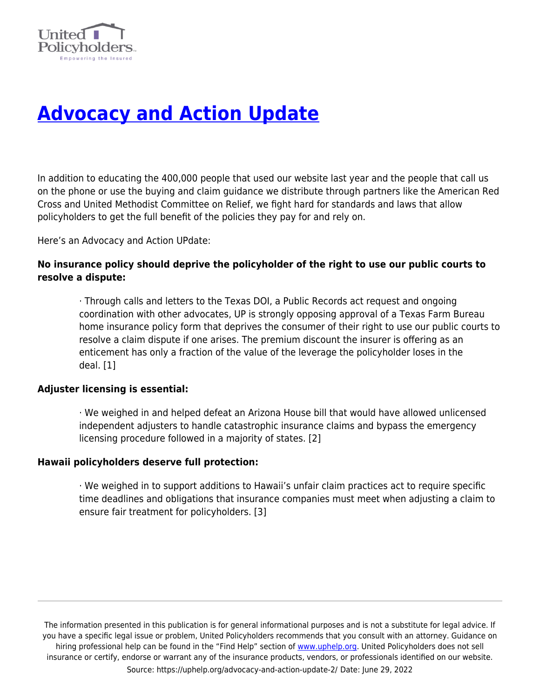

# **[Advocacy and Action Update](https://uphelp.org/advocacy-and-action-update-2/)**

In addition to educating the 400,000 people that used our website last year and the people that call us on the phone or use the buying and claim guidance we distribute through partners like the American Red Cross and United Methodist Committee on Relief, we fight hard for standards and laws that allow policyholders to get the full benefit of the policies they pay for and rely on.

Here's an Advocacy and Action UPdate:

# **No insurance policy should deprive the policyholder of the right to use our public courts to resolve a dispute:**

· Through calls and letters to the Texas DOI, a Public Records act request and ongoing coordination with other advocates, UP is strongly opposing approval of a Texas Farm Bureau home insurance policy form that deprives the consumer of their right to use our public courts to resolve a claim dispute if one arises. The premium discount the insurer is offering as an enticement has only a fraction of the value of the leverage the policyholder loses in the deal. [1]

### **Adjuster licensing is essential:**

· We weighed in and helped defeat an Arizona House bill that would have allowed unlicensed independent adjusters to handle catastrophic insurance claims and bypass the emergency licensing procedure followed in a majority of states. [2]

### **Hawaii policyholders deserve full protection:**

· We weighed in to support additions to Hawaii's unfair claim practices act to require specific time deadlines and obligations that insurance companies must meet when adjusting a claim to ensure fair treatment for policyholders. [3]

The information presented in this publication is for general informational purposes and is not a substitute for legal advice. If you have a specific legal issue or problem, United Policyholders recommends that you consult with an attorney. Guidance on hiring professional help can be found in the "Find Help" section of [www.uphelp.org.](http://www.uphelp.org/) United Policyholders does not sell insurance or certify, endorse or warrant any of the insurance products, vendors, or professionals identified on our website. Source: https://uphelp.org/advocacy-and-action-update-2/ Date: June 29, 2022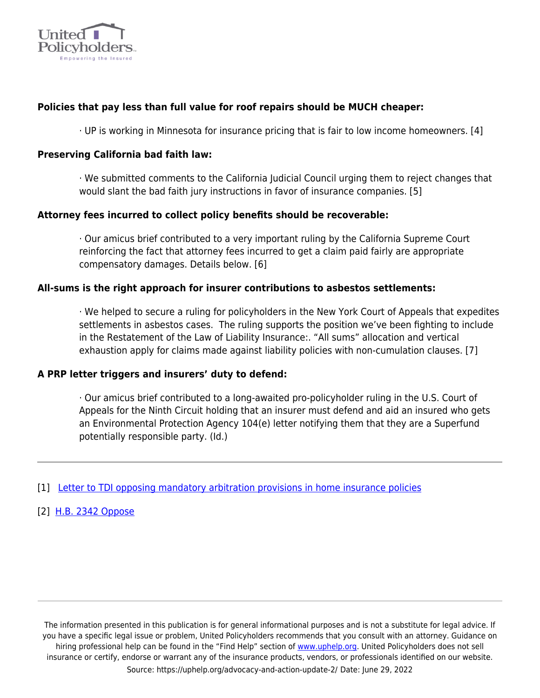

# **Policies that pay less than full value for roof repairs should be MUCH cheaper:**

· UP is working in Minnesota for insurance pricing that is fair to low income homeowners. [4]

## **Preserving California bad faith law:**

· We submitted comments to the California Judicial Council urging them to reject changes that would slant the bad faith jury instructions in favor of insurance companies. [5]

# **Attorney fees incurred to collect policy benefits should be recoverable:**

· Our amicus brief contributed to a very important ruling by the California Supreme Court reinforcing the fact that attorney fees incurred to get a claim paid fairly are appropriate compensatory damages. Details below. [6]

# **All-sums is the right approach for insurer contributions to asbestos settlements:**

· We helped to secure a ruling for policyholders in the New York Court of Appeals that expedites settlements in asbestos cases. The ruling supports the position we've been fighting to include in the Restatement of the Law of Liability Insurance:. "All sums" allocation and vertical exhaustion apply for claims made against liability policies with non-cumulation clauses. [7]

### **A PRP letter triggers and insurers' duty to defend:**

· Our amicus brief contributed to a long-awaited pro-policyholder ruling in the U.S. Court of Appeals for the Ninth Circuit holding that an insurer must defend and aid an insured who gets an Environmental Protection Agency 104(e) letter notifying them that they are a Superfund potentially responsible party. (Id.)

### [1] [Letter to TDI opposing mandatory arbitration provisions in home insurance policies](https://uphelp.org/wp-content/uploads/2021/03/letter_to_tdi_opposing_mandatory_arb_5-18-16_with_date.pdf)

[2] [H.B. 2342 Oppose](https://uphelp.org/wp-content/uploads/2020/10/hr_2342_-_oppose.pdf)

The information presented in this publication is for general informational purposes and is not a substitute for legal advice. If you have a specific legal issue or problem, United Policyholders recommends that you consult with an attorney. Guidance on hiring professional help can be found in the "Find Help" section of [www.uphelp.org.](http://www.uphelp.org/) United Policyholders does not sell insurance or certify, endorse or warrant any of the insurance products, vendors, or professionals identified on our website. Source: https://uphelp.org/advocacy-and-action-update-2/ Date: June 29, 2022